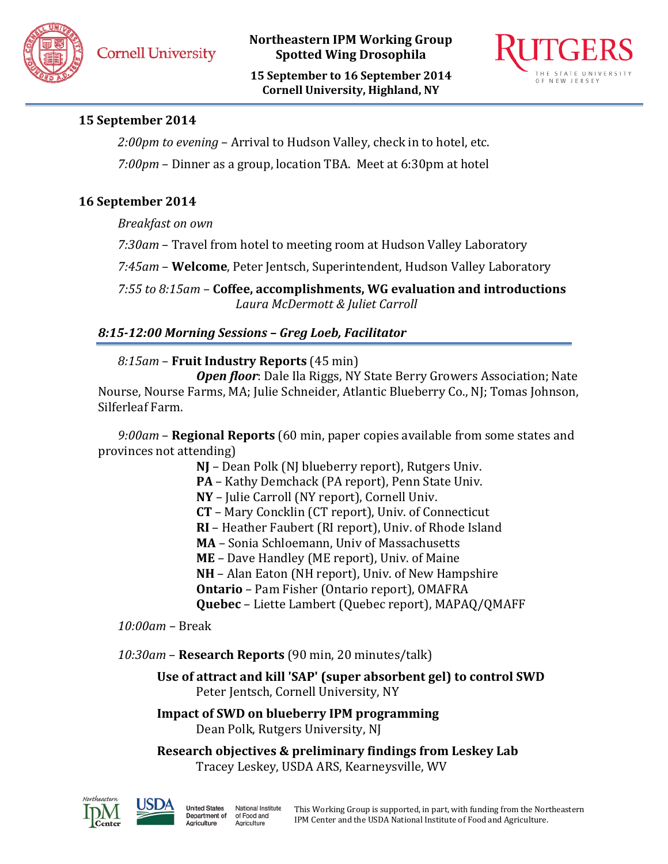**15 September to 16 September 2014 Cornell University, Highland, NY**



# **15 September 2014**

*2:00pm to evening* – Arrival to Hudson Valley, check in to hotel, etc. *7:00pm* – Dinner as a group, location TBA. Meet at 6:30pm at hotel

# **16 September 2014**

*Breakfast on own*

*7:30am* – Travel from hotel to meeting room at Hudson Valley Laboratory

*7:45am* – **Welcome**, Peter Jentsch, Superintendent, Hudson Valley Laboratory

*7:55 to 8:15am* – **Coffee, accomplishments, WG evaluation and introductions** *Laura McDermott & Juliet Carroll*

*8:15-12:00 Morning Sessions – Greg Loeb, Facilitator*

#### *8:15am* – **Fruit Industry Reports** (45 min)

*Open floor*: Dale Ila Riggs, NY State Berry Growers Association; Nate Nourse, Nourse Farms, MA; Julie Schneider, Atlantic Blueberry Co., NJ; Tomas Johnson, Silferleaf Farm.

*9:00am* – **Regional Reports** (60 min, paper copies available from some states and provinces not attending)

**NJ** – Dean Polk (NJ blueberry report), Rutgers Univ.

**PA** – Kathy Demchack (PA report), Penn State Univ.

**NY** – Julie Carroll (NY report), Cornell Univ.

**CT** – Mary Concklin (CT report), Univ. of Connecticut

**RI** – Heather Faubert (RI report), Univ. of Rhode Island

**MA** – Sonia Schloemann, Univ of Massachusetts

**ME** – Dave Handley (ME report), Univ. of Maine

**NH** – Alan Eaton (NH report), Univ. of New Hampshire

**Ontario** – Pam Fisher (Ontario report), OMAFRA

**Quebec** – Liette Lambert (Quebec report), MAPAQ/QMAFF

*10:00am –* Break

*10:30am* – **Research Reports** (90 min, 20 minutes/talk)

**Use of attract and kill 'SAP' (super absorbent gel) to control SWD** Peter Jentsch, Cornell University, NY

**Impact of SWD on blueberry IPM programming** Dean Polk, Rutgers University, NJ

**Research objectives & preliminary findings from Leskey Lab** Tracey Leskey, USDA ARS, Kearneysville, WV